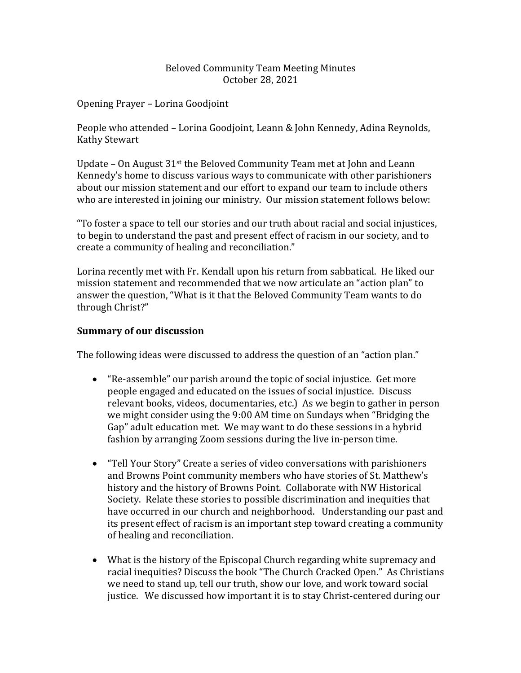## Beloved Community Team Meeting Minutes October 28, 2021

Opening Prayer - Lorina Goodjoint

People who attended - Lorina Goodjoint, Leann & John Kennedy, Adina Reynolds, **Kathy Stewart** 

Update - On August  $31<sup>st</sup>$  the Beloved Community Team met at John and Leann Kennedy's home to discuss various ways to communicate with other parishioners about our mission statement and our effort to expand our team to include others who are interested in joining our ministry. Our mission statement follows below:

"To foster a space to tell our stories and our truth about racial and social injustices, to begin to understand the past and present effect of racism in our society, and to create a community of healing and reconciliation."

Lorina recently met with Fr. Kendall upon his return from sabbatical. He liked our mission statement and recommended that we now articulate an "action plan" to answer the question, "What is it that the Beloved Community Team wants to do through Christ?" 

## **Summary of our discussion**

The following ideas were discussed to address the question of an "action plan."

- "Re-assemble" our parish around the topic of social injustice. Get more people engaged and educated on the issues of social injustice. Discuss relevant books, videos, documentaries, etc.) As we begin to gather in person we might consider using the 9:00 AM time on Sundays when "Bridging the Gap" adult education met. We may want to do these sessions in a hybrid fashion by arranging Zoom sessions during the live in-person time.
- "Tell Your Story" Create a series of video conversations with parishioners and Browns Point community members who have stories of St. Matthew's history and the history of Browns Point. Collaborate with NW Historical Society. Relate these stories to possible discrimination and inequities that have occurred in our church and neighborhood. Understanding our past and its present effect of racism is an important step toward creating a community of healing and reconciliation.
- What is the history of the Episcopal Church regarding white supremacy and racial inequities? Discuss the book "The Church Cracked Open." As Christians we need to stand up, tell our truth, show our love, and work toward social justice. We discussed how important it is to stay Christ-centered during our